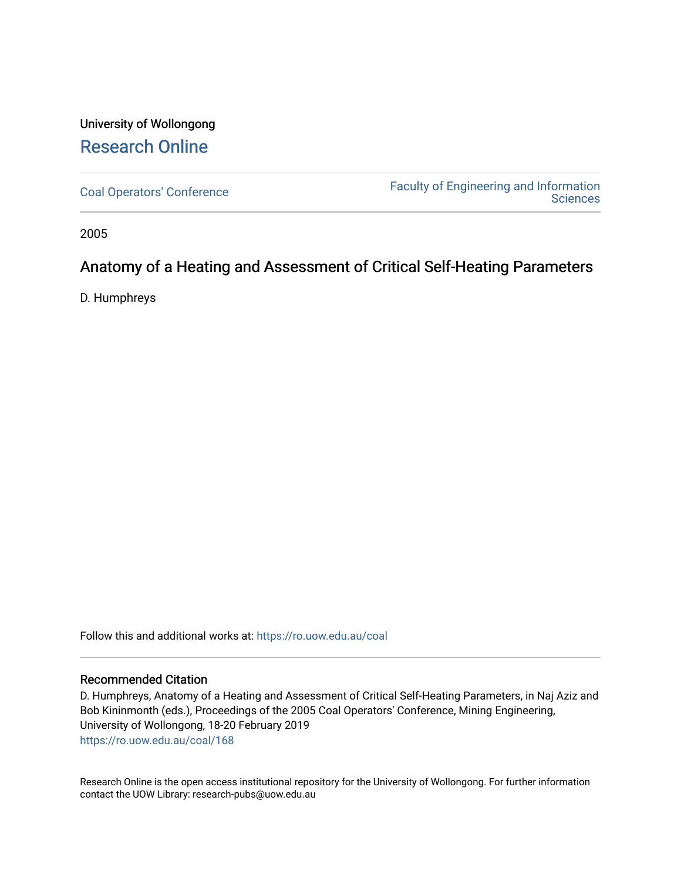## University of Wollongong [Research Online](https://ro.uow.edu.au/)

[Coal Operators' Conference](https://ro.uow.edu.au/coal) [Faculty of Engineering and Information](https://ro.uow.edu.au/eis)  **Sciences** 

2005

### Anatomy of a Heating and Assessment of Critical Self-Heating Parameters

D. Humphreys

Follow this and additional works at: [https://ro.uow.edu.au/coal](https://ro.uow.edu.au/coal?utm_source=ro.uow.edu.au%2Fcoal%2F168&utm_medium=PDF&utm_campaign=PDFCoverPages) 

#### Recommended Citation

D. Humphreys, Anatomy of a Heating and Assessment of Critical Self-Heating Parameters, in Naj Aziz and Bob Kininmonth (eds.), Proceedings of the 2005 Coal Operators' Conference, Mining Engineering, University of Wollongong, 18-20 February 2019 [https://ro.uow.edu.au/coal/168](https://ro.uow.edu.au/coal/168?utm_source=ro.uow.edu.au%2Fcoal%2F168&utm_medium=PDF&utm_campaign=PDFCoverPages) 

Research Online is the open access institutional repository for the University of Wollongong. For further information contact the UOW Library: research-pubs@uow.edu.au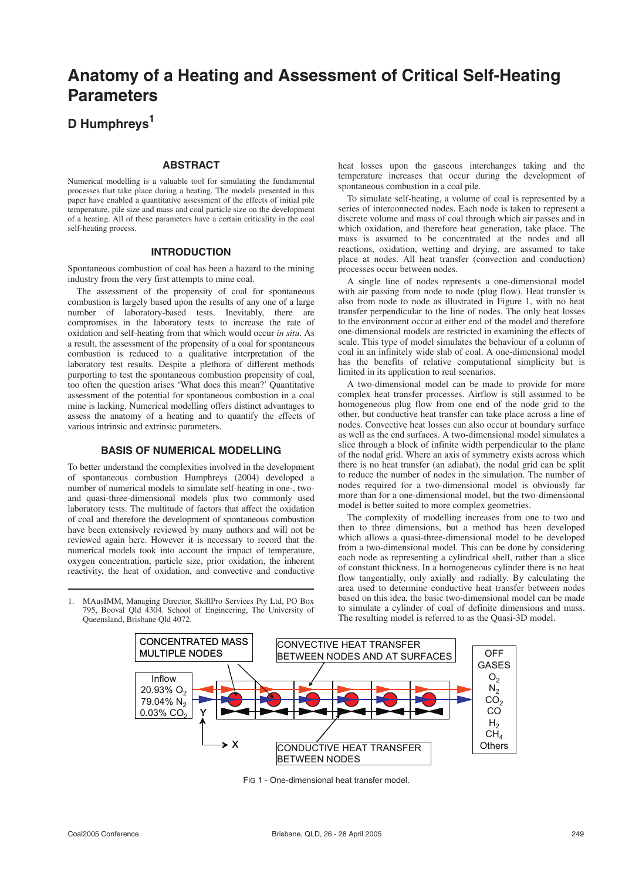# **Anatomy of a Heating and Assessment of Critical Self-Heating Parameters**

### **D Humphreys1**

#### **ABSTRACT**

Numerical modelling is a valuable tool for simulating the fundamental processes that take place during a heating. The models presented in this paper have enabled a quantitative assessment of the effects of initial pile temperature, pile size and mass and coal particle size on the development of a heating. All of these parameters have a certain criticality in the coal self-heating process.

#### **INTRODUCTION**

Spontaneous combustion of coal has been a hazard to the mining industry from the very first attempts to mine coal.

The assessment of the propensity of coal for spontaneous combustion is largely based upon the results of any one of a large number of laboratory-based tests. Inevitably, there are compromises in the laboratory tests to increase the rate of oxidation and self-heating from that which would occur *in situ*. As a result, the assessment of the propensity of a coal for spontaneous combustion is reduced to a qualitative interpretation of the laboratory test results. Despite a plethora of different methods purporting to test the spontaneous combustion propensity of coal, too often the question arises 'What does this mean?' Quantitative assessment of the potential for spontaneous combustion in a coal mine is lacking. Numerical modelling offers distinct advantages to assess the anatomy of a heating and to quantify the effects of various intrinsic and extrinsic parameters.

#### **BASIS OF NUMERICAL MODELLING**

To better understand the complexities involved in the development of spontaneous combustion Humphreys (2004) developed a number of numerical models to simulate self-heating in one-, twoand quasi-three-dimensional models plus two commonly used laboratory tests. The multitude of factors that affect the oxidation of coal and therefore the development of spontaneous combustion have been extensively reviewed by many authors and will not be reviewed again here. However it is necessary to record that the numerical models took into account the impact of temperature, oxygen concentration, particle size, prior oxidation, the inherent reactivity, the heat of oxidation, and convective and conductive

1. MAusIMM, Managing Director, SkillPro Services Pty Ltd, PO Box 795, Booval Qld 4304. School of Engineering, The University of

Queensland, Brisbane Qld 4072.

heat losses upon the gaseous interchanges taking and the temperature increases that occur during the development of spontaneous combustion in a coal pile.

To simulate self-heating, a volume of coal is represented by a series of interconnected nodes. Each node is taken to represent a discrete volume and mass of coal through which air passes and in which oxidation, and therefore heat generation, take place. The mass is assumed to be concentrated at the nodes and all reactions, oxidation, wetting and drying, are assumed to take place at nodes. All heat transfer (convection and conduction) processes occur between nodes.

A single line of nodes represents a one-dimensional model with air passing from node to node (plug flow). Heat transfer is also from node to node as illustrated in Figure 1, with no heat transfer perpendicular to the line of nodes. The only heat losses to the environment occur at either end of the model and therefore one-dimensional models are restricted in examining the effects of scale. This type of model simulates the behaviour of a column of coal in an infinitely wide slab of coal. A one-dimensional model has the benefits of relative computational simplicity but is limited in its application to real scenarios.

A two-dimensional model can be made to provide for more complex heat transfer processes. Airflow is still assumed to be homogeneous plug flow from one end of the node grid to the other, but conductive heat transfer can take place across a line of nodes. Convective heat losses can also occur at boundary surface as well as the end surfaces. A two-dimensional model simulates a slice through a block of infinite width perpendicular to the plane of the nodal grid. Where an axis of symmetry exists across which there is no heat transfer (an adiabat), the nodal grid can be split to reduce the number of nodes in the simulation. The number of nodes required for a two-dimensional model is obviously far more than for a one-dimensional model, but the two-dimensional model is better suited to more complex geometries.

The complexity of modelling increases from one to two and then to three dimensions, but a method has been developed which allows a quasi-three-dimensional model to be developed from a two-dimensional model. This can be done by considering each node as representing a cylindrical shell, rather than a slice of constant thickness. In a homogeneous cylinder there is no heat flow tangentially, only axially and radially. By calculating the area used to determine conductive heat transfer between nodes based on this idea, the basic two-dimensional model can be made to simulate a cylinder of coal of definite dimensions and mass. The resulting model is referred to as the Quasi-3D model.



FIG 1 - One-dimensional heat transfer model.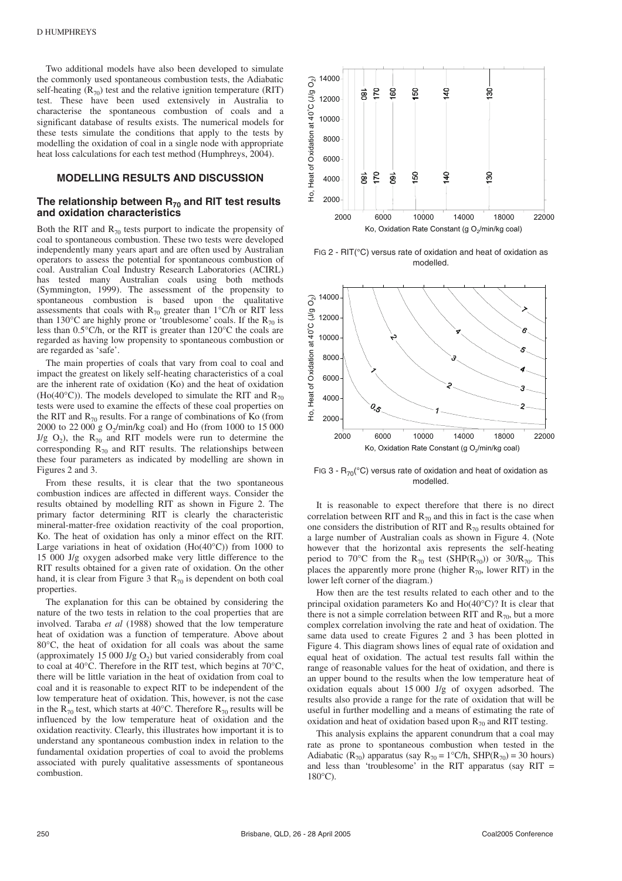Two additional models have also been developed to simulate the commonly used spontaneous combustion tests, the Adiabatic self-heating  $(R_{70})$  test and the relative ignition temperature (RIT) test. These have been used extensively in Australia to characterise the spontaneous combustion of coals and a significant database of results exists. The numerical models for these tests simulate the conditions that apply to the tests by modelling the oxidation of coal in a single node with appropriate heat loss calculations for each test method (Humphreys, 2004).

#### **MODELLING RESULTS AND DISCUSSION**

#### The relationship between R<sub>70</sub> and RIT test results **and oxidation characteristics**

Both the RIT and  $R_{70}$  tests purport to indicate the propensity of coal to spontaneous combustion. These two tests were developed independently many years apart and are often used by Australian operators to assess the potential for spontaneous combustion of coal. Australian Coal Industry Research Laboratories (ACIRL) has tested many Australian coals using both methods (Symmington, 1999). The assessment of the propensity to spontaneous combustion is based upon the qualitative assessments that coals with  $R_{70}$  greater than 1°C/h or RIT less than 130 $^{\circ}$ C are highly prone or 'troublesome' coals. If the R<sub>70</sub> is less than 0.5°C/h, or the RIT is greater than 120°C the coals are regarded as having low propensity to spontaneous combustion or are regarded as 'safe'.

The main properties of coals that vary from coal to coal and impact the greatest on likely self-heating characteristics of a coal are the inherent rate of oxidation (Ko) and the heat of oxidation (Ho(40 $^{\circ}$ C)). The models developed to simulate the RIT and R<sub>70</sub> tests were used to examine the effects of these coal properties on the RIT and  $R_{70}$  results. For a range of combinations of Ko (from 2000 to 22 000 g  $O_2$ /min/kg coal) and Ho (from 1000 to 15 000 J/g  $O_2$ ), the  $R_{70}$  and RIT models were run to determine the corresponding  $R_{70}$  and RIT results. The relationships between these four parameters as indicated by modelling are shown in Figures 2 and 3.

From these results, it is clear that the two spontaneous combustion indices are affected in different ways. Consider the results obtained by modelling RIT as shown in Figure 2. The primary factor determining RIT is clearly the characteristic mineral-matter-free oxidation reactivity of the coal proportion, Ko. The heat of oxidation has only a minor effect on the RIT. Large variations in heat of oxidation  $(Ho(40^{\circ}C))$  from 1000 to 15 000 J/g oxygen adsorbed make very little difference to the RIT results obtained for a given rate of oxidation. On the other hand, it is clear from Figure 3 that  $R_{70}$  is dependent on both coal properties.

The explanation for this can be obtained by considering the nature of the two tests in relation to the coal properties that are involved. Taraba *et al* (1988) showed that the low temperature heat of oxidation was a function of temperature. Above about 80°C, the heat of oxidation for all coals was about the same (approximately 15 000 J/g  $O_2$ ) but varied considerably from coal to coal at 40°C. Therefore in the RIT test, which begins at 70°C, there will be little variation in the heat of oxidation from coal to coal and it is reasonable to expect RIT to be independent of the low temperature heat of oxidation. This, however, is not the case in the  $R_{70}$  test, which starts at 40°C. Therefore  $R_{70}$  results will be influenced by the low temperature heat of oxidation and the oxidation reactivity. Clearly, this illustrates how important it is to understand any spontaneous combustion index in relation to the fundamental oxidation properties of coal to avoid the problems associated with purely qualitative assessments of spontaneous combustion.



FIG 2 - RIT(°C) versus rate of oxidation and heat of oxidation as modelled.



FIG 3 -  $R_{70}$ (°C) versus rate of oxidation and heat of oxidation as modelled.

It is reasonable to expect therefore that there is no direct correlation between RIT and  $R_{70}$  and this in fact is the case when one considers the distribution of RIT and  $R_{70}$  results obtained for a large number of Australian coals as shown in Figure 4. (Note however that the horizontal axis represents the self-heating period to 70°C from the R<sub>70</sub> test (SHP(R<sub>70</sub>)) or 30/R<sub>70</sub>. This places the apparently more prone (higher  $R_{70}$ , lower RIT) in the lower left corner of the diagram.)

How then are the test results related to each other and to the principal oxidation parameters Ko and Ho(40°C)? It is clear that there is not a simple correlation between RIT and  $R_{70}$ , but a more complex correlation involving the rate and heat of oxidation. The same data used to create Figures 2 and 3 has been plotted in Figure 4. This diagram shows lines of equal rate of oxidation and equal heat of oxidation. The actual test results fall within the range of reasonable values for the heat of oxidation, and there is an upper bound to the results when the low temperature heat of oxidation equals about 15 000 J/g of oxygen adsorbed. The results also provide a range for the rate of oxidation that will be useful in further modelling and a means of estimating the rate of oxidation and heat of oxidation based upon  $R_{70}$  and RIT testing.

This analysis explains the apparent conundrum that a coal may rate as prone to spontaneous combustion when tested in the Adiabatic (R<sub>70</sub>) apparatus (say R<sub>70</sub> = 1°C/h, SHP(R<sub>70</sub>) = 30 hours) and less than 'troublesome' in the RIT apparatus (say RIT = 180°C).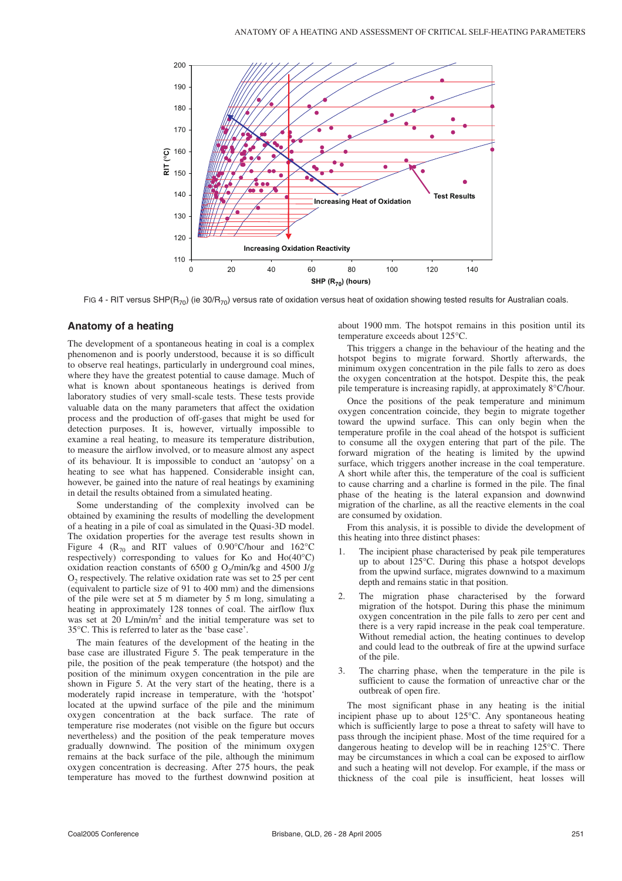

FIG 4 - RIT versus SHP(R<sub>70</sub>) (ie 30/R<sub>70</sub>) versus rate of oxidation versus heat of oxidation showing tested results for Australian coals.

#### **Anatomy of a heating**

The development of a spontaneous heating in coal is a complex phenomenon and is poorly understood, because it is so difficult to observe real heatings, particularly in underground coal mines, where they have the greatest potential to cause damage. Much of what is known about spontaneous heatings is derived from laboratory studies of very small-scale tests. These tests provide valuable data on the many parameters that affect the oxidation process and the production of off-gases that might be used for detection purposes. It is, however, virtually impossible to examine a real heating, to measure its temperature distribution, to measure the airflow involved, or to measure almost any aspect of its behaviour. It is impossible to conduct an 'autopsy' on a heating to see what has happened. Considerable insight can, however, be gained into the nature of real heatings by examining in detail the results obtained from a simulated heating.

Some understanding of the complexity involved can be obtained by examining the results of modelling the development of a heating in a pile of coal as simulated in the Quasi-3D model. The oxidation properties for the average test results shown in Figure 4 ( $R_{70}$  and RIT values of 0.90°C/hour and 162°C respectively) corresponding to values for Ko and Ho(40°C) oxidation reaction constants of 6500 g O<sub>2</sub>/min/kg and 4500 J/g  $O<sub>2</sub>$  respectively. The relative oxidation rate was set to 25 per cent (equivalent to particle size of 91 to 400 mm) and the dimensions of the pile were set at 5 m diameter by 5 m long, simulating a heating in approximately 128 tonnes of coal. The airflow flux was set at 20 L/min/m<sup>2</sup> and the initial temperature was set to 35°C. This is referred to later as the 'base case'.

The main features of the development of the heating in the base case are illustrated Figure 5. The peak temperature in the pile, the position of the peak temperature (the hotspot) and the position of the minimum oxygen concentration in the pile are shown in Figure 5. At the very start of the heating, there is a moderately rapid increase in temperature, with the 'hotspot' located at the upwind surface of the pile and the minimum oxygen concentration at the back surface. The rate of temperature rise moderates (not visible on the figure but occurs nevertheless) and the position of the peak temperature moves gradually downwind. The position of the minimum oxygen remains at the back surface of the pile, although the minimum oxygen concentration is decreasing. After 275 hours, the peak temperature has moved to the furthest downwind position at about 1900 mm. The hotspot remains in this position until its temperature exceeds about 125°C.

This triggers a change in the behaviour of the heating and the hotspot begins to migrate forward. Shortly afterwards, the minimum oxygen concentration in the pile falls to zero as does the oxygen concentration at the hotspot. Despite this, the peak pile temperature is increasing rapidly, at approximately 8°C/hour.

Once the positions of the peak temperature and minimum oxygen concentration coincide, they begin to migrate together toward the upwind surface. This can only begin when the temperature profile in the coal ahead of the hotspot is sufficient to consume all the oxygen entering that part of the pile. The forward migration of the heating is limited by the upwind surface, which triggers another increase in the coal temperature. A short while after this, the temperature of the coal is sufficient to cause charring and a charline is formed in the pile. The final phase of the heating is the lateral expansion and downwind migration of the charline, as all the reactive elements in the coal are consumed by oxidation.

From this analysis, it is possible to divide the development of this heating into three distinct phases:

- The incipient phase characterised by peak pile temperatures up to about 125°C. During this phase a hotspot develops from the upwind surface, migrates downwind to a maximum depth and remains static in that position.
- The migration phase characterised by the forward migration of the hotspot. During this phase the minimum oxygen concentration in the pile falls to zero per cent and there is a very rapid increase in the peak coal temperature. Without remedial action, the heating continues to develop and could lead to the outbreak of fire at the upwind surface of the pile.
- 3. The charring phase, when the temperature in the pile is sufficient to cause the formation of unreactive char or the outbreak of open fire.

The most significant phase in any heating is the initial incipient phase up to about 125°C. Any spontaneous heating which is sufficiently large to pose a threat to safety will have to pass through the incipient phase. Most of the time required for a dangerous heating to develop will be in reaching 125°C. There may be circumstances in which a coal can be exposed to airflow and such a heating will not develop. For example, if the mass or thickness of the coal pile is insufficient, heat losses will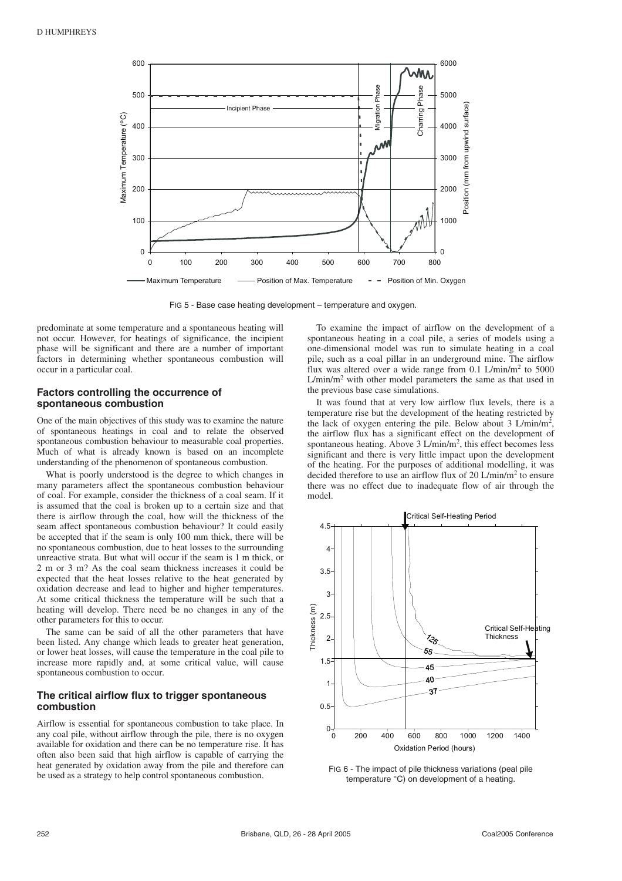

FIG 5 - Base case heating development – temperature and oxygen.

predominate at some temperature and a spontaneous heating will not occur. However, for heatings of significance, the incipient phase will be significant and there are a number of important factors in determining whether spontaneous combustion will occur in a particular coal.

#### **Factors controlling the occurrence of spontaneous combustion**

One of the main objectives of this study was to examine the nature of spontaneous heatings in coal and to relate the observed spontaneous combustion behaviour to measurable coal properties. Much of what is already known is based on an incomplete understanding of the phenomenon of spontaneous combustion.

What is poorly understood is the degree to which changes in many parameters affect the spontaneous combustion behaviour of coal. For example, consider the thickness of a coal seam. If it is assumed that the coal is broken up to a certain size and that there is airflow through the coal, how will the thickness of the seam affect spontaneous combustion behaviour? It could easily be accepted that if the seam is only 100 mm thick, there will be no spontaneous combustion, due to heat losses to the surrounding unreactive strata. But what will occur if the seam is 1 m thick, or 2 m or 3 m? As the coal seam thickness increases it could be expected that the heat losses relative to the heat generated by oxidation decrease and lead to higher and higher temperatures. At some critical thickness the temperature will be such that a heating will develop. There need be no changes in any of the other parameters for this to occur.

The same can be said of all the other parameters that have been listed. Any change which leads to greater heat generation, or lower heat losses, will cause the temperature in the coal pile to increase more rapidly and, at some critical value, will cause spontaneous combustion to occur.

#### **The critical airflow flux to trigger spontaneous combustion**

Airflow is essential for spontaneous combustion to take place. In any coal pile, without airflow through the pile, there is no oxygen available for oxidation and there can be no temperature rise. It has often also been said that high airflow is capable of carrying the heat generated by oxidation away from the pile and therefore can be used as a strategy to help control spontaneous combustion.

To examine the impact of airflow on the development of a spontaneous heating in a coal pile, a series of models using a one-dimensional model was run to simulate heating in a coal pile, such as a coal pillar in an underground mine. The airflow flux was altered over a wide range from  $0.1$  L/min/m<sup>2</sup> to 5000  $L/min/m<sup>2</sup>$  with other model parameters the same as that used in the previous base case simulations.

It was found that at very low airflow flux levels, there is a temperature rise but the development of the heating restricted by the lack of oxygen entering the pile. Below about  $3 L/min/m<sup>2</sup>$ , the airflow flux has a significant effect on the development of spontaneous heating. Above 3 L/min/m<sup>2</sup>, this effect becomes less significant and there is very little impact upon the development of the heating. For the purposes of additional modelling, it was decided therefore to use an airflow flux of 20 L/min/m<sup>2</sup> to ensure there was no effect due to inadequate flow of air through the model.



FIG 6 - The impact of pile thickness variations (peal pile temperature °C) on development of a heating.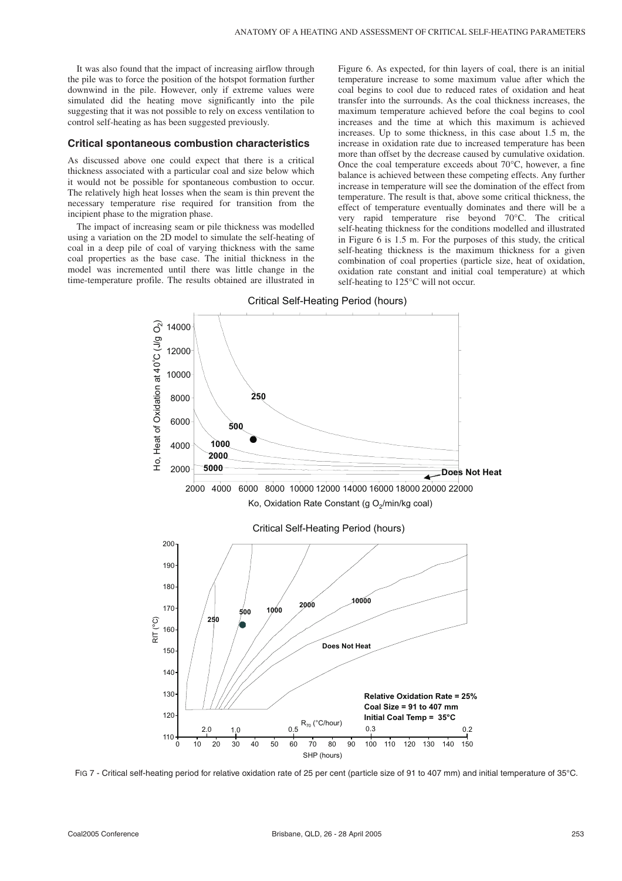It was also found that the impact of increasing airflow through the pile was to force the position of the hotspot formation further downwind in the pile. However, only if extreme values were simulated did the heating move significantly into the pile suggesting that it was not possible to rely on excess ventilation to control self-heating as has been suggested previously.

#### **Critical spontaneous combustion characteristics**

As discussed above one could expect that there is a critical thickness associated with a particular coal and size below which it would not be possible for spontaneous combustion to occur. The relatively high heat losses when the seam is thin prevent the necessary temperature rise required for transition from the incipient phase to the migration phase.

The impact of increasing seam or pile thickness was modelled using a variation on the 2D model to simulate the self-heating of coal in a deep pile of coal of varying thickness with the same coal properties as the base case. The initial thickness in the model was incremented until there was little change in the time-temperature profile. The results obtained are illustrated in Figure 6. As expected, for thin layers of coal, there is an initial temperature increase to some maximum value after which the coal begins to cool due to reduced rates of oxidation and heat transfer into the surrounds. As the coal thickness increases, the maximum temperature achieved before the coal begins to cool increases and the time at which this maximum is achieved increases. Up to some thickness, in this case about 1.5 m, the increase in oxidation rate due to increased temperature has been more than offset by the decrease caused by cumulative oxidation. Once the coal temperature exceeds about 70°C, however, a fine balance is achieved between these competing effects. Any further increase in temperature will see the domination of the effect from temperature. The result is that, above some critical thickness, the effect of temperature eventually dominates and there will be a very rapid temperature rise beyond 70°C. The critical self-heating thickness for the conditions modelled and illustrated in Figure 6 is 1.5 m. For the purposes of this study, the critical self-heating thickness is the maximum thickness for a given combination of coal properties (particle size, heat of oxidation, oxidation rate constant and initial coal temperature) at which self-heating to 125°C will not occur.



FIG 7 - Critical self-heating period for relative oxidation rate of 25 per cent (particle size of 91 to 407 mm) and initial temperature of 35°C.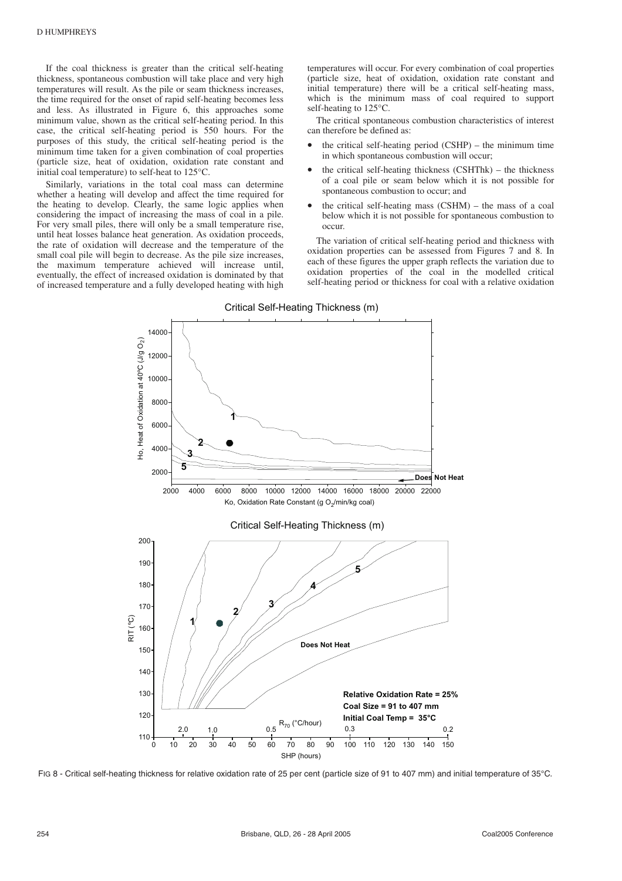If the coal thickness is greater than the critical self-heating thickness, spontaneous combustion will take place and very high temperatures will result. As the pile or seam thickness increases, the time required for the onset of rapid self-heating becomes less and less. As illustrated in Figure 6, this approaches some minimum value, shown as the critical self-heating period. In this case, the critical self-heating period is 550 hours. For the purposes of this study, the critical self-heating period is the minimum time taken for a given combination of coal properties (particle size, heat of oxidation, oxidation rate constant and initial coal temperature) to self-heat to 125°C.

Similarly, variations in the total coal mass can determine whether a heating will develop and affect the time required for the heating to develop. Clearly, the same logic applies when considering the impact of increasing the mass of coal in a pile. For very small piles, there will only be a small temperature rise, until heat losses balance heat generation. As oxidation proceeds, the rate of oxidation will decrease and the temperature of the small coal pile will begin to decrease. As the pile size increases, the maximum temperature achieved will increase until, eventually, the effect of increased oxidation is dominated by that of increased temperature and a fully developed heating with high temperatures will occur. For every combination of coal properties (particle size, heat of oxidation, oxidation rate constant and initial temperature) there will be a critical self-heating mass, which is the minimum mass of coal required to support self-heating to 125°C.

The critical spontaneous combustion characteristics of interest can therefore be defined as:

- the critical self-heating period  $(CSHP)$  the minimum time in which spontaneous combustion will occur;
- the critical self-heating thickness  $(CSHThk)$  the thickness of a coal pile or seam below which it is not possible for spontaneous combustion to occur; and
- the critical self-heating mass (CSHM) the mass of a coal below which it is not possible for spontaneous combustion to occur.

The variation of critical self-heating period and thickness with oxidation properties can be assessed from Figures 7 and 8. In each of these figures the upper graph reflects the variation due to oxidation properties of the coal in the modelled critical self-heating period or thickness for coal with a relative oxidation



FIG 8 - Critical self-heating thickness for relative oxidation rate of 25 per cent (particle size of 91 to 407 mm) and initial temperature of 35°C.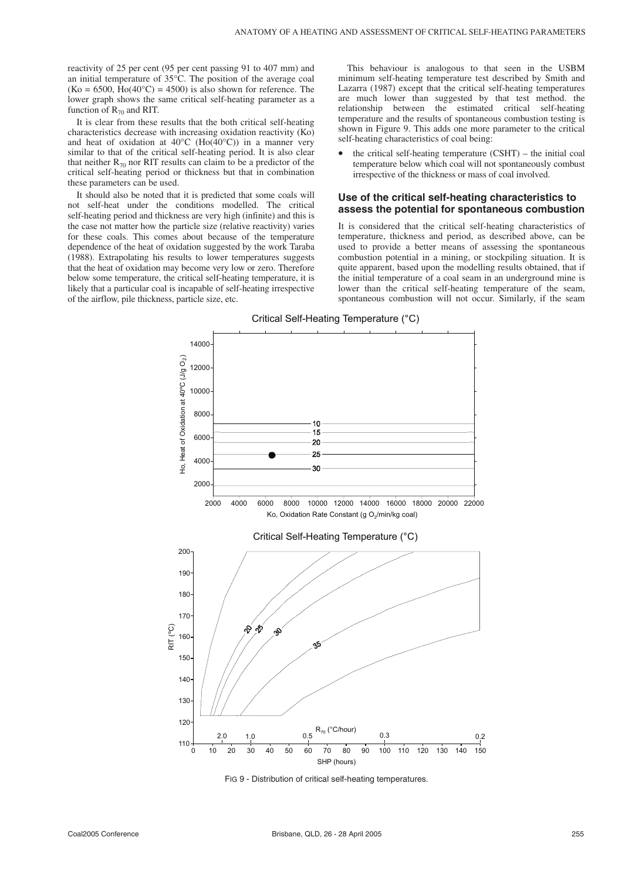reactivity of 25 per cent (95 per cent passing 91 to 407 mm) and an initial temperature of 35°C. The position of the average coal  $(Ko = 6500, \overline{Ho}(40^{\circ}C) = 4500)$  is also shown for reference. The lower graph shows the same critical self-heating parameter as a function of  $R_{70}$  and RIT.

It is clear from these results that the both critical self-heating characteristics decrease with increasing oxidation reactivity (Ko) and heat of oxidation at 40°C (Ho( $40^{\circ}$ C)) in a manner very similar to that of the critical self-heating period. It is also clear that neither  $R_{70}$  nor RIT results can claim to be a predictor of the critical self-heating period or thickness but that in combination these parameters can be used.

It should also be noted that it is predicted that some coals will not self-heat under the conditions modelled. The critical self-heating period and thickness are very high (infinite) and this is the case not matter how the particle size (relative reactivity) varies for these coals. This comes about because of the temperature dependence of the heat of oxidation suggested by the work Taraba (1988). Extrapolating his results to lower temperatures suggests that the heat of oxidation may become very low or zero. Therefore below some temperature, the critical self-heating temperature, it is likely that a particular coal is incapable of self-heating irrespective of the airflow, pile thickness, particle size, etc.

This behaviour is analogous to that seen in the USBM minimum self-heating temperature test described by Smith and Lazarra (1987) except that the critical self-heating temperatures are much lower than suggested by that test method. the relationship between the estimated critical self-heating temperature and the results of spontaneous combustion testing is shown in Figure 9. This adds one more parameter to the critical self-heating characteristics of coal being:

• the critical self-heating temperature (CSHT) – the initial coal temperature below which coal will not spontaneously combust irrespective of the thickness or mass of coal involved.

#### **Use of the critical self-heating characteristics to assess the potential for spontaneous combustion**

It is considered that the critical self-heating characteristics of temperature, thickness and period, as described above, can be used to provide a better means of assessing the spontaneous combustion potential in a mining, or stockpiling situation. It is quite apparent, based upon the modelling results obtained, that if the initial temperature of a coal seam in an underground mine is lower than the critical self-heating temperature of the seam, spontaneous combustion will not occur. Similarly, if the seam





FIG 9 - Distribution of critical self-heating temperatures.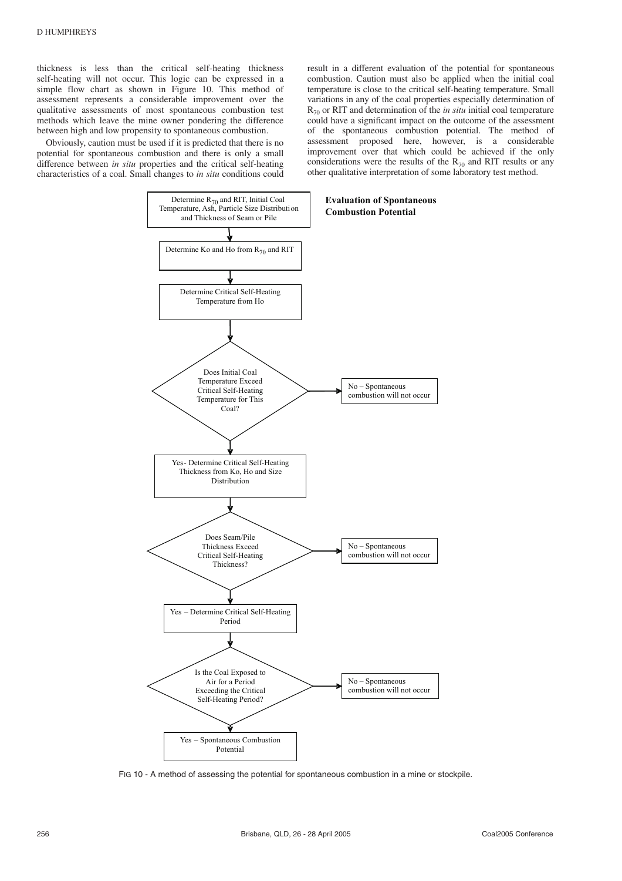thickness is less than the critical self-heating thickness self-heating will not occur. This logic can be expressed in a simple flow chart as shown in Figure 10. This method of assessment represents a considerable improvement over the qualitative assessments of most spontaneous combustion test methods which leave the mine owner pondering the difference between high and low propensity to spontaneous combustion.

Obviously, caution must be used if it is predicted that there is no potential for spontaneous combustion and there is only a small difference between *in situ* properties and the critical self-heating characteristics of a coal. Small changes to *in situ* conditions could result in a different evaluation of the potential for spontaneous combustion. Caution must also be applied when the initial coal temperature is close to the critical self-heating temperature. Small variations in any of the coal properties especially determination of  $R_{70}$  or RIT and determination of the *in situ* initial coal temperature could have a significant impact on the outcome of the assessment of the spontaneous combustion potential. The method of assessment proposed here, however, is a considerable improvement over that which could be achieved if the only considerations were the results of the  $R_{70}$  and RIT results or any other qualitative interpretation of some laboratory test method.



FIG 10 - A method of assessing the potential for spontaneous combustion in a mine or stockpile.